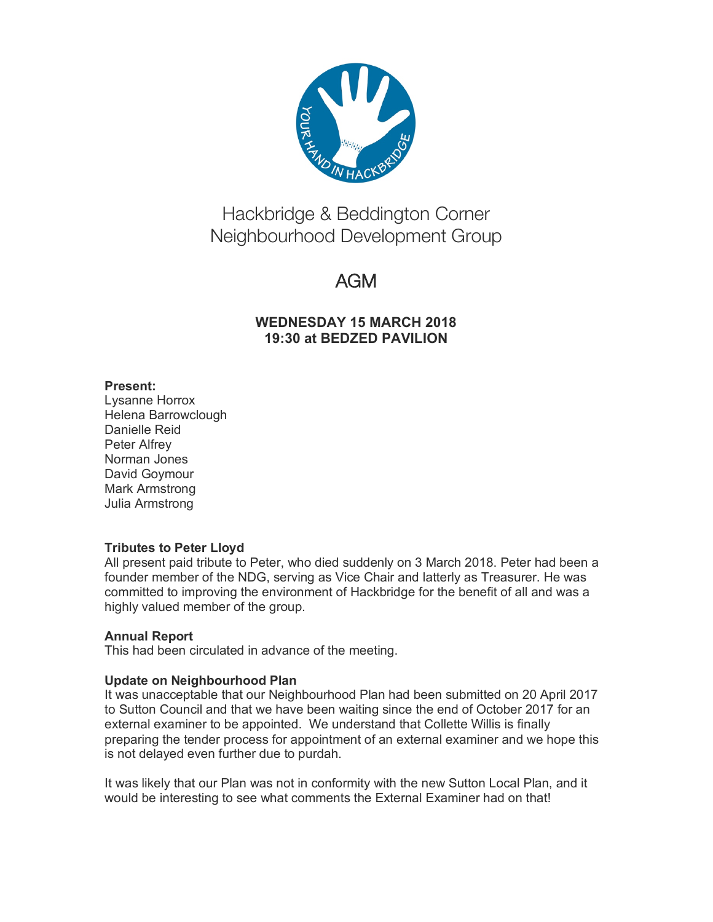

# Hackbridge & Beddington Corner Neighbourhood Development Group

# AGM

## **WEDNESDAY 15 MARCH 2018 19:30 at BEDZED PAVILION**

## **Present:**

Lysanne Horrox Helena Barrowclough Danielle Reid Peter Alfrey Norman Jones David Goymour Mark Armstrong Julia Armstrong

## **Tributes to Peter Lloyd**

All present paid tribute to Peter, who died suddenly on 3 March 2018. Peter had been a founder member of the NDG, serving as Vice Chair and latterly as Treasurer. He was committed to improving the environment of Hackbridge for the benefit of all and was a highly valued member of the group.

## **Annual Report**

This had been circulated in advance of the meeting.

## **Update on Neighbourhood Plan**

It was unacceptable that our Neighbourhood Plan had been submitted on 20 April 2017 to Sutton Council and that we have been waiting since the end of October 2017 for an external examiner to be appointed. We understand that Collette Willis is finally preparing the tender process for appointment of an external examiner and we hope this is not delayed even further due to purdah.

It was likely that our Plan was not in conformity with the new Sutton Local Plan, and it would be interesting to see what comments the External Examiner had on that!